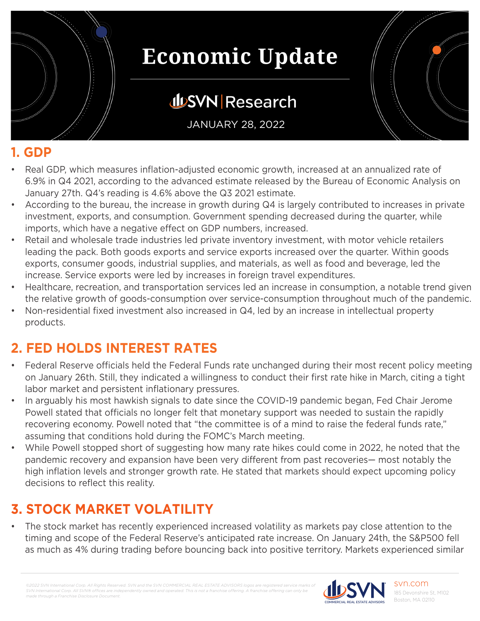

## **JUSVN Research**

JANUARY 28, 2022

#### **1. GDP**

- Real GDP, which measures inflation-adjusted economic growth, increased at an annualized rate of 6.9% in Q4 2021, according to the advanced estimate released by the Bureau of Economic Analysis on January 27th. Q4's reading is 4.6% above the Q3 2021 estimate.
- According to the bureau, the increase in growth during Q4 is largely contributed to increases in private investment, exports, and consumption. Government spending decreased during the quarter, while imports, which have a negative effect on GDP numbers, increased.
- Retail and wholesale trade industries led private inventory investment, with motor vehicle retailers leading the pack. Both goods exports and service exports increased over the quarter. Within goods exports, consumer goods, industrial supplies, and materials, as well as food and beverage, led the increase. Service exports were led by increases in foreign travel expenditures.
- Healthcare, recreation, and transportation services led an increase in consumption, a notable trend given the relative growth of goods-consumption over service-consumption throughout much of the pandemic.
- Non-residential fixed investment also increased in Q4, led by an increase in intellectual property products.

#### **2. FED HOLDS INTEREST RATES**

- Federal Reserve officials held the Federal Funds rate unchanged during their most recent policy meeting on January 26th. Still, they indicated a willingness to conduct their first rate hike in March, citing a tight labor market and persistent inflationary pressures.
- In arguably his most hawkish signals to date since the COVID-19 pandemic began, Fed Chair Jerome Powell stated that officials no longer felt that monetary support was needed to sustain the rapidly recovering economy. Powell noted that "the committee is of a mind to raise the federal funds rate," assuming that conditions hold during the FOMC's March meeting.
- While Powell stopped short of suggesting how many rate hikes could come in 2022, he noted that the pandemic recovery and expansion have been very different from past recoveries— most notably the high inflation levels and stronger growth rate. He stated that markets should expect upcoming policy decisions to reflect this reality.

### **3. STOCK MARKET VOLATILITY**

The stock market has recently experienced increased volatility as markets pay close attention to the timing and scope of the Federal Reserve's anticipated rate increase. On January 24th, the S&P500 fell as much as 4% during trading before bouncing back into positive territory. Markets experienced similar

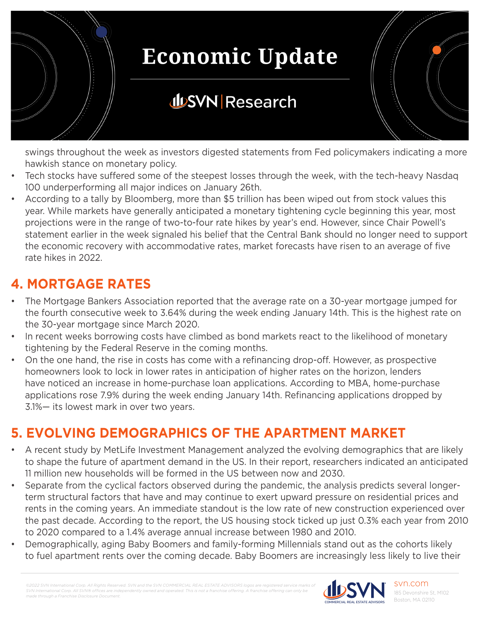

## **JUSVN Research**

swings throughout the week as investors digested statements from Fed policymakers indicating a more hawkish stance on monetary policy.

- Tech stocks have suffered some of the steepest losses through the week, with the tech-heavy Nasdaq 100 underperforming all major indices on January 26th.
- According to a tally by Bloomberg, more than \$5 trillion has been wiped out from stock values this year. While markets have generally anticipated a monetary tightening cycle beginning this year, most projections were in the range of two-to-four rate hikes by year's end. However, since Chair Powell's statement earlier in the week signaled his belief that the Central Bank should no longer need to support the economic recovery with accommodative rates, market forecasts have risen to an average of five rate hikes in 2022.

### **4. MORTGAGE RATES**

- The Mortgage Bankers Association reported that the average rate on a 30-year mortgage jumped for the fourth consecutive week to 3.64% during the week ending January 14th. This is the highest rate on the 30-year mortgage since March 2020.
- In recent weeks borrowing costs have climbed as bond markets react to the likelihood of monetary tightening by the Federal Reserve in the coming months.
- On the one hand, the rise in costs has come with a refinancing drop-off. However, as prospective homeowners look to lock in lower rates in anticipation of higher rates on the horizon, lenders have noticed an increase in home-purchase loan applications. According to MBA, home-purchase applications rose 7.9% during the week ending January 14th. Refinancing applications dropped by 3.1%— its lowest mark in over two years.

### **5. EVOLVING DEMOGRAPHICS OF THE APARTMENT MARKET**

- A recent study by MetLife Investment Management analyzed the evolving demographics that are likely to shape the future of apartment demand in the US. In their report, researchers indicated an anticipated 11 million new households will be formed in the US between now and 2030.
- Separate from the cyclical factors observed during the pandemic, the analysis predicts several longerterm structural factors that have and may continue to exert upward pressure on residential prices and rents in the coming years. An immediate standout is the low rate of new construction experienced over the past decade. According to the report, the US housing stock ticked up just 0.3% each year from 2010 to 2020 compared to a 1.4% average annual increase between 1980 and 2010.
- Demographically, aging Baby Boomers and family-forming Millennials stand out as the cohorts likely to fuel apartment rents over the coming decade. Baby Boomers are increasingly less likely to live their

*©2022 SVN International Corp. All Rights Reserved. SVN and the SVN COMMERCIAL REAL ESTATE ADVISORS logos are registered service marks of SVN International Corp. All SVN® offices are indeperational Corp. All SVN®* offices are indeper *made through a Franchise Disclosure Document.*



svn.com 185 Devonshire St, M102 Boston, MA 02110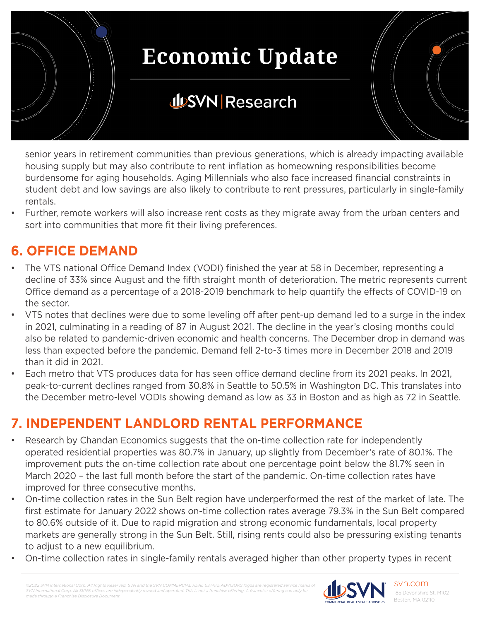

## **JUSVN Research**

senior years in retirement communities than previous generations, which is already impacting available housing supply but may also contribute to rent inflation as homeowning responsibilities become burdensome for aging households. Aging Millennials who also face increased financial constraints in student debt and low savings are also likely to contribute to rent pressures, particularly in single-family rentals.

• Further, remote workers will also increase rent costs as they migrate away from the urban centers and sort into communities that more fit their living preferences.

#### **6. OFFICE DEMAND**

- The VTS national Office Demand Index (VODI) finished the year at 58 in December, representing a decline of 33% since August and the fifth straight month of deterioration. The metric represents current Office demand as a percentage of a 2018-2019 benchmark to help quantify the effects of COVID-19 on the sector.
- VTS notes that declines were due to some leveling off after pent-up demand led to a surge in the index in 2021, culminating in a reading of 87 in August 2021. The decline in the year's closing months could also be related to pandemic-driven economic and health concerns. The December drop in demand was less than expected before the pandemic. Demand fell 2-to-3 times more in December 2018 and 2019 than it did in 2021.
- Each metro that VTS produces data for has seen office demand decline from its 2021 peaks. In 2021, peak-to-current declines ranged from 30.8% in Seattle to 50.5% in Washington DC. This translates into the December metro-level VODIs showing demand as low as 33 in Boston and as high as 72 in Seattle.

### **7. INDEPENDENT LANDLORD RENTAL PERFORMANCE**

- Research by Chandan Economics suggests that the on-time collection rate for independently operated residential properties was 80.7% in January, up slightly from December's rate of 80.1%. The improvement puts the on-time collection rate about one percentage point below the 81.7% seen in March 2020 – the last full month before the start of the pandemic. On-time collection rates have improved for three consecutive months.
- On-time collection rates in the Sun Belt region have underperformed the rest of the market of late. The first estimate for January 2022 shows on-time collection rates average 79.3% in the Sun Belt compared to 80.6% outside of it. Due to rapid migration and strong economic fundamentals, local property markets are generally strong in the Sun Belt. Still, rising rents could also be pressuring existing tenants to adjust to a new equilibrium.
- On-time collection rates in single-family rentals averaged higher than other property types in recent

*©2022 SVN International Corp. All Rights Reserved. SVN and the SVN COMMERCIAL REAL ESTATE ADVISORS logos are registered service marks of SVN International Corp. All SVN® offices are indeperational Corp. All SVN® offices are indeperational made through a Franchise Disclosure Document.*

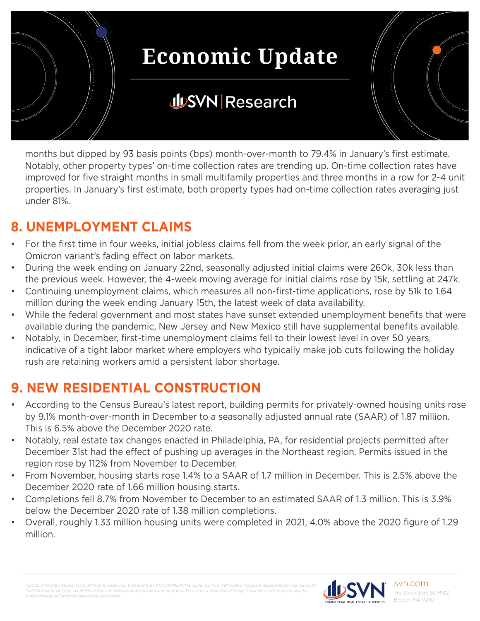

months but dipped by 93 basis points (bps) month-over-month to 79.4% in January's first estimate. Notably, other property types' on-time collection rates are trending up. On-time collection rates have improved for five straight months in small multifamily properties and three months in a row for 2-4 unit properties. In January's first estimate, both property types had on-time collection rates averaging just under 81%.

#### **8. UNEMPLOYMENT CLAIMS**

- For the first time in four weeks, initial jobless claims fell from the week prior, an early signal of the Omicron variant's fading effect on labor markets.
- During the week ending on January 22nd, seasonally adjusted initial claims were 260k, 30k less than the previous week. However, the 4-week moving average for initial claims rose by 15k, settling at 247k.
- Continuing unemployment claims, which measures all non-first-time applications, rose by 51k to 1.64 million during the week ending January 15th, the latest week of data availability.
- While the federal government and most states have sunset extended unemployment benefits that were available during the pandemic, New Jersey and New Mexico still have supplemental benefits available.
- Notably, in December, first-time unemployment claims fell to their lowest level in over 50 years, indicative of a tight labor market where employers who typically make job cuts following the holiday rush are retaining workers amid a persistent labor shortage.

#### **9. NEW RESIDENTIAL CONSTRUCTION**

- According to the Census Bureau's latest report, building permits for privately-owned housing units rose by 9.1% month-over-month in December to a seasonally adjusted annual rate (SAAR) of 1.87 million. This is 6.5% above the December 2020 rate.
- Notably, real estate tax changes enacted in Philadelphia, PA, for residential projects permitted after December 31st had the effect of pushing up averages in the Northeast region. Permits issued in the region rose by 112% from November to December.
- From November, housing starts rose 1.4% to a SAAR of 1.7 million in December. This is 2.5% above the December 2020 rate of 1.66 million housing starts.
- Completions fell 8.7% from November to December to an estimated SAAR of 1.3 million. This is 3.9% below the December 2020 rate of 1.38 million completions.
- Overall, roughly 1.33 million housing units were completed in 2021, 4.0% above the 2020 figure of 1.29 million.

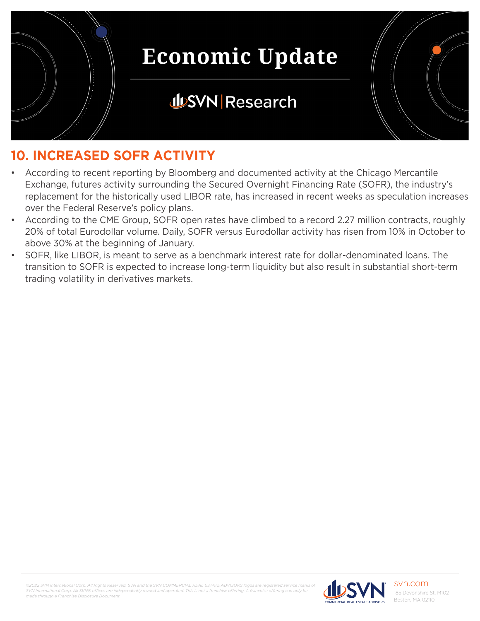

## **JUSVN Research**



- According to recent reporting by Bloomberg and documented activity at the Chicago Mercantile Exchange, futures activity surrounding the Secured Overnight Financing Rate (SOFR), the industry's replacement for the historically used LIBOR rate, has increased in recent weeks as speculation increases over the Federal Reserve's policy plans.
- According to the CME Group, SOFR open rates have climbed to a record 2.27 million contracts, roughly 20% of total Eurodollar volume. Daily, SOFR versus Eurodollar activity has risen from 10% in October to above 30% at the beginning of January.
- SOFR, like LIBOR, is meant to serve as a benchmark interest rate for dollar-denominated loans. The transition to SOFR is expected to increase long-term liquidity but also result in substantial short-term trading volatility in derivatives markets.